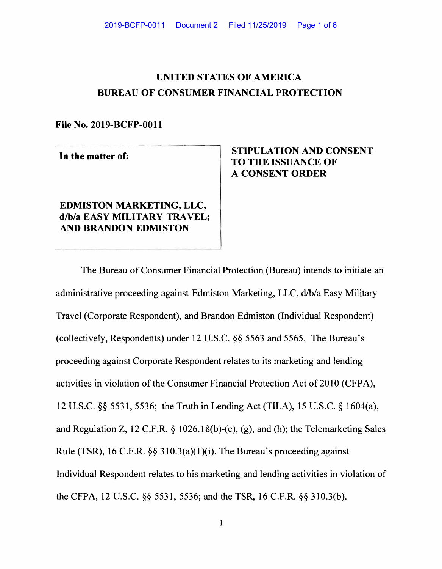# **UNITED STATES OF AMERICA BUREAU OF CONSUMER FINANCIAL PROTECTION**

**File No. 2019-BCFP-0011** 

In the matter of:

## **EDMISTON MARKETING, LLC, d/b/a EASY MILITARY TRAVEL; AND BRANDON EDMISTON**

## **STIPULATION AND CONSENT TO THE ISSUANCE OF A CONSENT ORDER**

The Bureau of Consumer Financial Protection (Bureau) intends to initiate an administrative proceeding against Edmiston Marketing, LLC, d/b/a Easy Military Travel (Corporate Respondent), and Brandon Edmiston (Individual Respondent) (collectively, Respondents) under 12 U.S.C.  $\S$ § 5563 and 5565. The Bureau's proceeding against Corporate Respondent relates to its marketing and lending activities in violation of the Consumer Financial Protection Act of 2010 (CFPA), 12 U.S.C. §§ 5531, 5536; the Truth in Lending Act (TILA), 15 U.S.C. § 1604(a), and Regulation Z, 12 C.F.R. § 1026.  $18(b)-(e)$ , (g), and (h); the Telemarketing Sales Rule (TSR), 16 C.F.R.  $\S$ § 310.3(a)(1)(i). The Bureau's proceeding against Individual Respondent relates to his marketing and lending activities in violation of the CFPA, 12 U.S.C.  $\S$ § 5531, 5536; and the TSR, 16 C.F.R.  $\S$ § 310.3(b).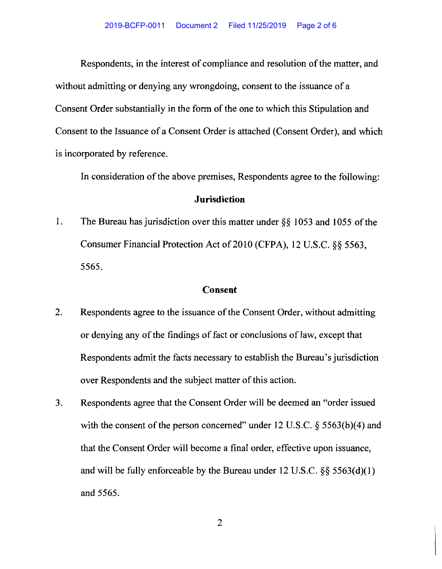Respondents, in the interest of compliance and resolution of the matter, and without admitting or denying any wrongdoing, consent to the issuance of a Consent Order substantially in the form of the one to which this Stipulation and Consent to the Issuance of a Consent Order is attached (Consent Order), and which is incorporated by reference.

In consideration of the above premises, Respondents agree to the following:

### **Jurisdiction**

1. The Bureau has jurisdiction over this matter under  $\S$ § 1053 and 1055 of the Consumer Financial Protection Act of 2010 (CFPA), 12 U.S.C. §§ 5563, 5565.

### **Consent**

- 2. Respondents agree to the issuance of the Consent Order, without admitting or denying any of the findings of fact or conclusions of law, except that Respondents admit the facts necessary to establish the Bureau's jurisdiction over Respondents and the subject matter of this action.
- 3. Respondents agree that the Consent Order will be deemed an "order issued" with the consent of the person concerned" under 12 U.S.C.  $\S$  5563(b)(4) and that the Consent Order will become a final order, effective upon issuance, and will be fully enforceable by the Bureau under  $12 \text{ U.S.C.}$  §§  $5563(d)(1)$ 5565. and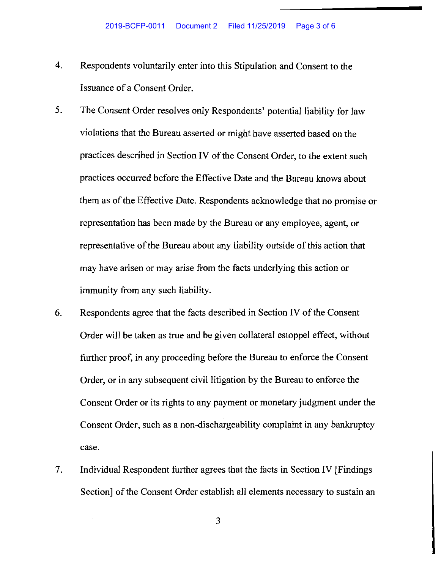- 4. Respondents voluntarily enter into this Stipulation and Consent to the Issuance of a Consent Order.
- 5. The Consent Order resolves only Respondents' potential liability for law violations that the Bureau asserted or might have asserted based on the practices described in Section IV of the Consent Order, to the extent such practices occurred before the Effective Date and the Bureau knows about them as of the Effective Date. Respondents acknowledge that no promise or representation has been made by the Bureau or any employee, agent, or representative of the Bureau about any liability outside of this action that may have arisen or may arise from the facts underlying this action or immunity from any such liability.
- 6. Respondents agree that the facts described in Section IV of the Consent Order will be taken as true and be given collateral estoppel effect, without further proof, in any proceeding before the Bureau to enforce the Consent Order, or in any subsequent civil litigation by the Bureau to enforce the Consent Order or its rights to any payment or monetary judgment under the Consent Order, such as a non-dischargeability complaint in any bankruptcy case.
- 7. Individual Respondent further agrees that the facts in Section IV [Findings] Section] of the Consent Order establish all elements necessary to sustain an

3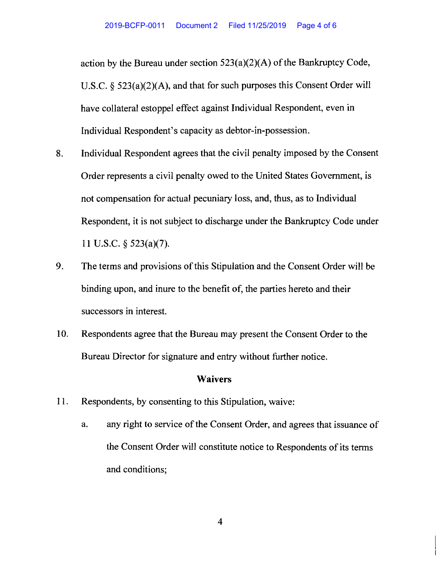action by the Bureau under section  $523(a)(2)(A)$  of the Bankruptcy Code, U.S.C. §  $523(a)(2)(A)$ , and that for such purposes this Consent Order will have collateral estoppel effect against Individual Respondent, even in Individual Respondent's capacity as debtor-in-possession.

- 8. Individual Respondent agrees that the civil penalty imposed by the Consent Order represents a civil penalty owed to the United States Government, is not compensation for actual pecuniary loss, and, thus, as to Individual Respondent, it is not subject to discharge under the Bankruptcy Code under 11 U.S.C.  $\S$  523(a)(7).
- 9. The terms and provisions of this Stipulation and the Consent Order will be binding upon, and inure to the benefit of, the parties hereto and their successors in interest.
- 10. Respondents agree that the Bureau may present the Consent Order to the Bureau Director for signature and entry without further notice.

#### **Waivers**

- 11. Respondents, by consenting to this Stipulation, waive:
	- a. any right to service of the Consent Order, and agrees that issuance of the Consent Order will constitute notice to Respondents of its terms and conditions;

4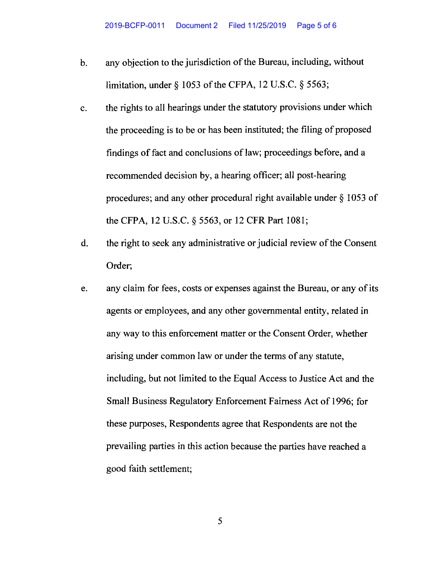- b. any objection to the jurisdiction of the Bureau, including, without limitation, under  $\delta$  1053 of the CFPA, 12 U.S.C.  $\delta$  5563;
- c. the rights to all hearings under the statutory provisions under which the proceeding is to be or has been instituted; the filing of proposed findings of fact and conclusions of law; proceedings before, and a recommended decision by, a hearing officer; all post-hearing procedures; and any other procedural right available under  $\S$  1053 of the CFPA, 12 U.S.C. § 5563, or 12 CFR Part 1081;
- d. the right to seek any administrative or judicial review of the Consent Order;
- e. any claim for fees, costs or expenses against the Bureau, or any of its agents or employees, and any other governmental entity, related in any way to this enforcement matter or the Consent Order, whether arising under common law or under the terms of any statute, including, but not limited to the Equal Access to Justice Act and the Small Business Regulatory Enforcement Fairness Act of 1996; for these purposes, Respondents agree that Respondents are not the prevailing parties in this action because the parties have reached a good faith settlement;

5